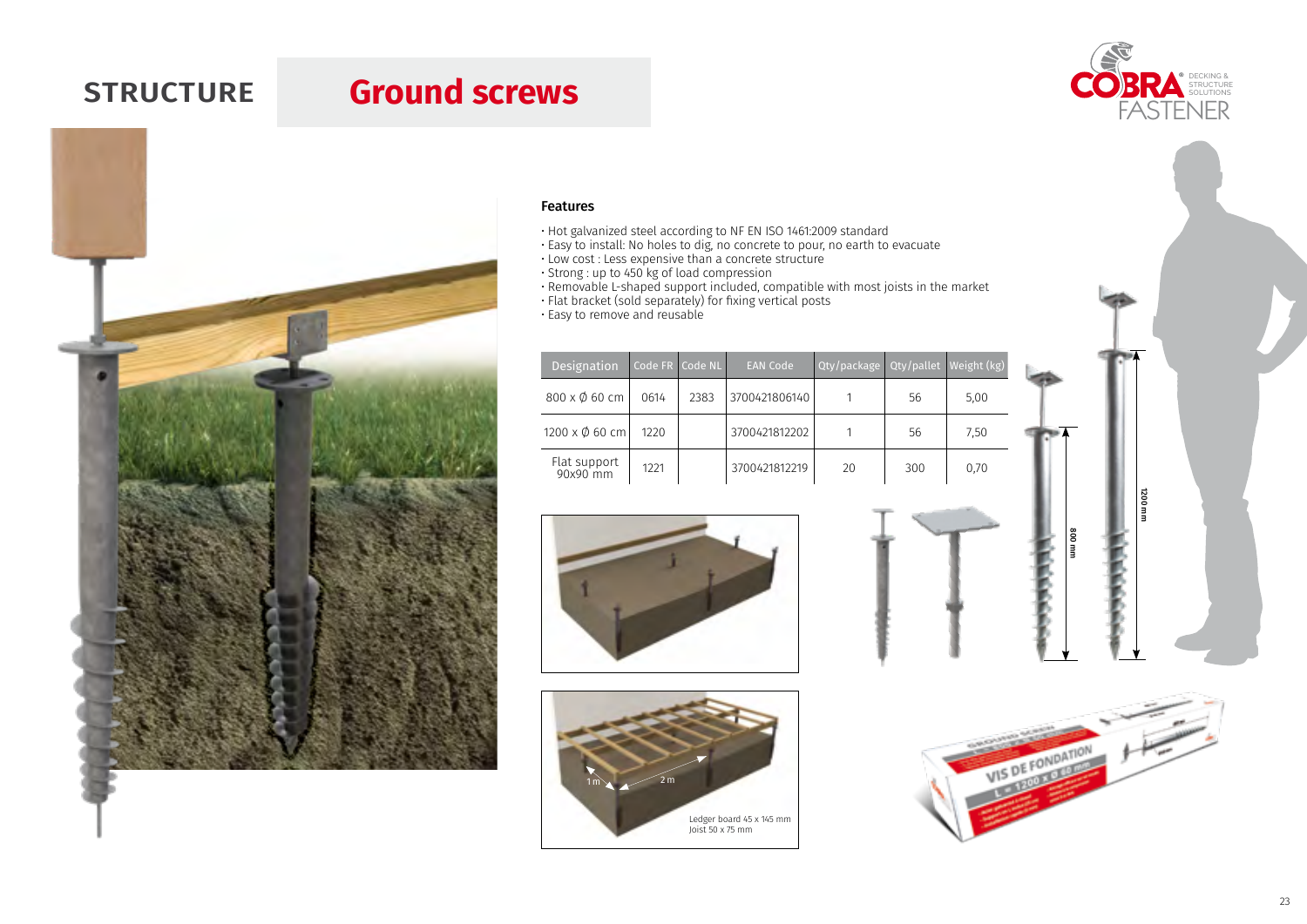## **STRUCTURE Ground screws**





- Hot galvanized steel according to NF EN ISO 1461:2009 standard
- Easy to install: No holes to dig, no concrete to pour, no earth to evacuate
- Low cost : Less expensive than a concrete structure
- Strong : up to 450 kg of load compression
- Removable L-shaped support included, compatible with most joists in the market
- Flat bracket (sold separately) for fixing vertical posts
- Easy to remove and reusable

| Designation              |      | Code FR Code NL | <b>EAN Code</b> | Qty/package Qty/pallet Weight (kg) |     |      |  |
|--------------------------|------|-----------------|-----------------|------------------------------------|-----|------|--|
| 800 x Ø 60 cm            | 0614 | 2383            | 3700421806140   |                                    | 56  | 5.00 |  |
| 1200 x Ø 60 cm           | 1220 |                 | 3700421812202   |                                    | 56  | 7,50 |  |
| Flat support<br>90x90 mm | 1221 |                 | 3700421812219   | 20                                 | 300 | 0,70 |  |







800 mm

1200 mm

**zo**